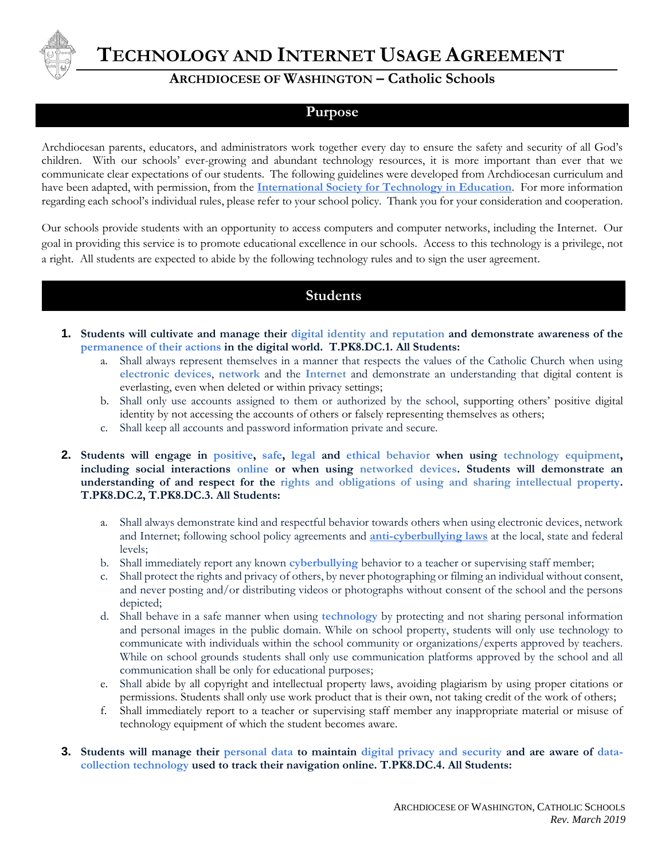

**TECHNOLOGY AND INTERNET USAGE AGREEMENT.**

## **ARCHDIOCESE OF WASHINGTON – Catholic Schools**

## **Purpose**

Archdiocesan parents, educators, and administrators work together every day to ensure the safety and security of all God's children. With our schools' ever-growing and abundant technology resources, it is more important than ever that we communicate clear expectations of our students. The following guidelines were developed from Archdiocesan curriculum and have been adapted, with permission, from the **[International Society for Technology in Education](https://www.iste.org/standards)**. For more information regarding each school's individual rules, please refer to your school policy. Thank you for your consideration and cooperation.

Our schools provide students with an opportunity to access computers and computer networks, including the Internet. Our goal in providing this service is to promote educational excellence in our schools. Access to this technology is a privilege, not a right. All students are expected to abide by the following technology rules and to sign the user agreement.

## **Students**

- **1. Students will cultivate and manage their digital identity and reputation and demonstrate awareness of the permanence of their actions in the digital world. T.PK8.DC.1. All Students:**
	- a. Shall always represent themselves in a manner that respects the values of the Catholic Church when using **electronic devices**, **network** and the **Internet** and demonstrate an understanding that digital content is everlasting, even when deleted or within privacy settings;
	- b. Shall only use accounts assigned to them or authorized by the school, supporting others' positive digital identity by not accessing the accounts of others or falsely representing themselves as others;
	- c. Shall keep all accounts and password information private and secure.
- **2. Students will engage in positive, safe, legal and ethical behavior when using technology equipment, including social interactions online or when using networked devices. Students will demonstrate an understanding of and respect for the rights and obligations of using and sharing intellectual property. T.PK8.DC.2, T.PK8.DC.3. All Students:**
	- a. Shall always demonstrate kind and respectful behavior towards others when using electronic devices, network and Internet; following school policy agreements and **[anti-cyberbullying laws](https://cyberbullying.org/)** at the local, state and federal levels;
	- b. Shall immediately report any known **cyberbullying** behavior to a teacher or supervising staff member;
	- c. Shall protect the rights and privacy of others, by never photographing or filming an individual without consent, and never posting and/or distributing videos or photographs without consent of the school and the persons depicted;
	- d. Shall behave in a safe manner when using **technology** by protecting and not sharing personal information and personal images in the public domain. While on school property, students will only use technology to communicate with individuals within the school community or organizations/experts approved by teachers. While on school grounds students shall only use communication platforms approved by the school and all communication shall be only for educational purposes;
	- e. Shall abide by all copyright and intellectual property laws, avoiding plagiarism by using proper citations or permissions. Students shall only use work product that is their own, not taking credit of the work of others;
	- f. Shall immediately report to a teacher or supervising staff member any inappropriate material or misuse of technology equipment of which the student becomes aware.
- **3. Students will manage their personal data to maintain digital privacy and security and are aware of datacollection technology used to track their navigation online. T.PK8.DC.4. All Students:**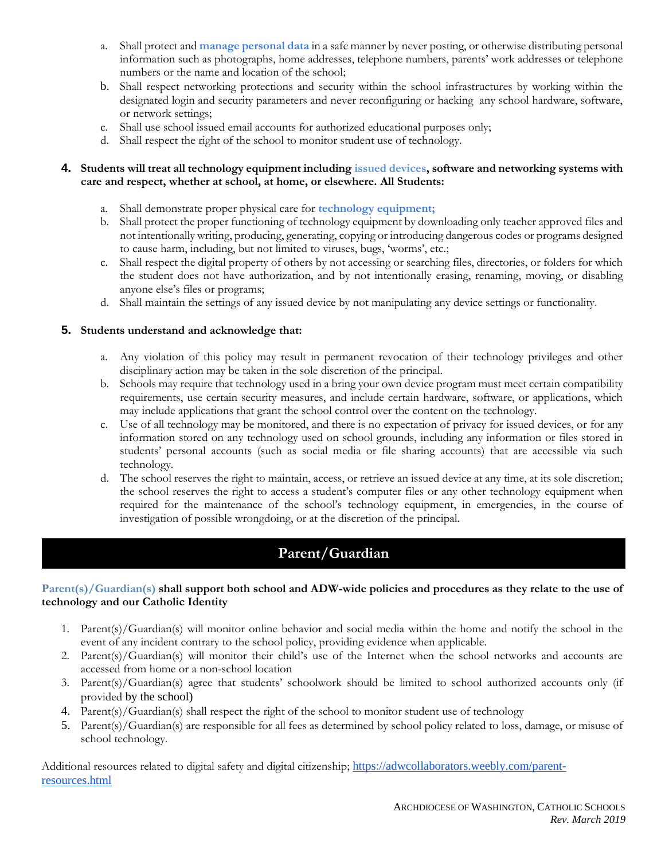- a. Shall protect and **manage personal data** in a safe manner by never posting, or otherwise distributing personal information such as photographs, home addresses, telephone numbers, parents' work addresses or telephone numbers or the name and location of the school;
- b. Shall respect networking protections and security within the school infrastructures by working within the designated login and security parameters and never reconfiguring or hacking any school hardware, software, or network settings;
- c. Shall use school issued email accounts for authorized educational purposes only;
- d. Shall respect the right of the school to monitor student use of technology.

#### **4. Students will treat all technology equipment including issued devices, software and networking systems with care and respect, whether at school, at home, or elsewhere. All Students:**

- a. Shall demonstrate proper physical care for **technology equipment;**
- b. Shall protect the proper functioning of technology equipment by downloading only teacher approved files and not intentionally writing, producing, generating, copying or introducing dangerous codes or programs designed to cause harm, including, but not limited to viruses, bugs, 'worms', etc.;
- c. Shall respect the digital property of others by not accessing or searching files, directories, or folders for which the student does not have authorization, and by not intentionally erasing, renaming, moving, or disabling anyone else's files or programs;
- d. Shall maintain the settings of any issued device by not manipulating any device settings or functionality.

#### **5. Students understand and acknowledge that:**

- a. Any violation of this policy may result in permanent revocation of their technology privileges and other disciplinary action may be taken in the sole discretion of the principal.
- b. Schools may require that technology used in a bring your own device program must meet certain compatibility requirements, use certain security measures, and include certain hardware, software, or applications, which may include applications that grant the school control over the content on the technology.
- c. Use of all technology may be monitored, and there is no expectation of privacy for issued devices, or for any information stored on any technology used on school grounds, including any information or files stored in students' personal accounts (such as social media or file sharing accounts) that are accessible via such technology.
- d. The school reserves the right to maintain, access, or retrieve an issued device at any time, at its sole discretion; the school reserves the right to access a student's computer files or any other technology equipment when required for the maintenance of the school's technology equipment, in emergencies, in the course of investigation of possible wrongdoing, or at the discretion of the principal.

# **Parent/Guardian**

#### **Parent(s)/Guardian(s) shall support both school and ADW-wide policies and procedures as they relate to the use of technology and our Catholic Identity**

- 1. Parent(s)/Guardian(s) will monitor online behavior and social media within the home and notify the school in the event of any incident contrary to the school policy, providing evidence when applicable.
- 2. Parent(s)/Guardian(s) will monitor their child's use of the Internet when the school networks and accounts are accessed from home or a non-school location
- 3. Parent(s)/Guardian(s) agree that students' schoolwork should be limited to school authorized accounts only (if provided by the school)
- 4. Parent(s)/Guardian(s) shall respect the right of the school to monitor student use of technology
- 5. Parent(s)/Guardian(s) are responsible for all fees as determined by school policy related to loss, damage, or misuse of school technology.

Additional resources related to digital safety and digital citizenship; [https://adwcollaborators.weebly.com/parent](https://adwcollaborators.weebly.com/parent-resources.html)[resources.html](https://adwcollaborators.weebly.com/parent-resources.html)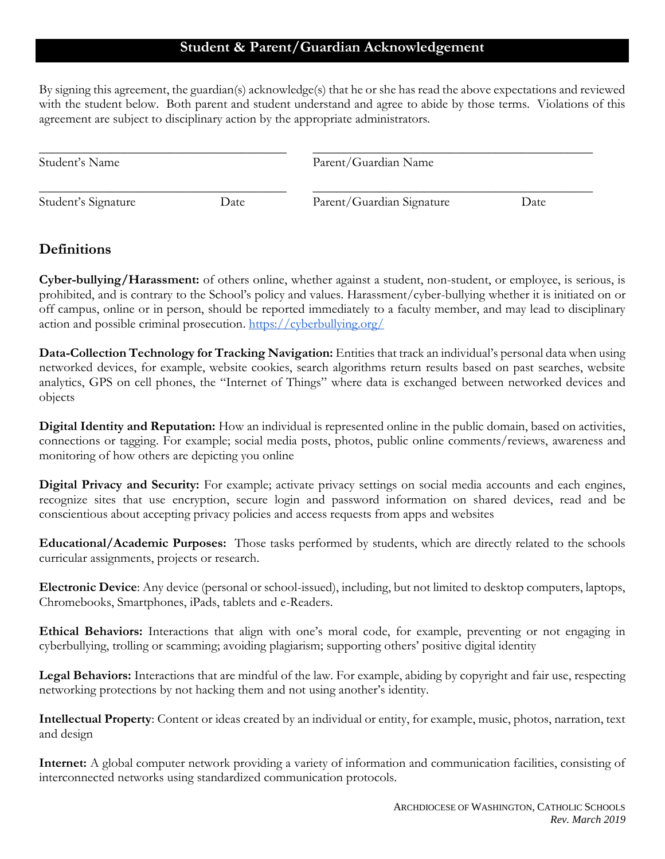## **Student & Parent/Guardian Acknowledgement**

By signing this agreement, the guardian(s) acknowledge(s) that he or she has read the above expectations and reviewed with the student below. Both parent and student understand and agree to abide by those terms. Violations of this agreement are subject to disciplinary action by the appropriate administrators.

| Student's Name      |      | Parent/Guardian Name      |      |
|---------------------|------|---------------------------|------|
| Student's Signature | Date | Parent/Guardian Signature | Date |

## **Definitions**

**Cyber-bullying/Harassment:** of others online, whether against a student, non-student, or employee, is serious, is prohibited, and is contrary to the School's policy and values. Harassment/cyber-bullying whether it is initiated on or off campus, online or in person, should be reported immediately to a faculty member, and may lead to disciplinary action and possible criminal prosecution. <https://cyberbullying.org/>

**Data-Collection Technology for Tracking Navigation:** Entities that track an individual's personal data when using networked devices, for example, website cookies, search algorithms return results based on past searches, website analytics, GPS on cell phones, the "Internet of Things" where data is exchanged between networked devices and objects

**Digital Identity and Reputation:** How an individual is represented online in the public domain, based on activities, connections or tagging. For example; social media posts, photos, public online comments/reviews, awareness and monitoring of how others are depicting you online

**Digital Privacy and Security:** For example; activate privacy settings on social media accounts and each engines, recognize sites that use encryption, secure login and password information on shared devices, read and be conscientious about accepting privacy policies and access requests from apps and websites

**Educational/Academic Purposes:** Those tasks performed by students, which are directly related to the schools curricular assignments, projects or research.

**Electronic Device**: Any device (personal or school-issued), including, but not limited to desktop computers, laptops, Chromebooks, Smartphones, iPads, tablets and e-Readers.

**Ethical Behaviors:** Interactions that align with one's moral code, for example, preventing or not engaging in cyberbullying, trolling or scamming; avoiding plagiarism; supporting others' positive digital identity

**Legal Behaviors:** Interactions that are mindful of the law. For example, abiding by copyright and fair use, respecting networking protections by not hacking them and not using another's identity.

**Intellectual Property**: Content or ideas created by an individual or entity, for example, music, photos, narration, text and design

**Internet:** A global computer network providing a variety of information and communication facilities, consisting of interconnected networks using standardized communication protocols.